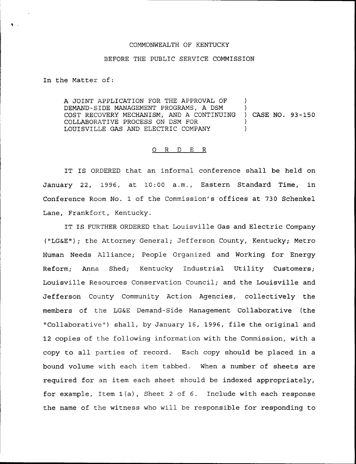## COMMONWEALTH OF KENTUCKY

## BEFORE THE PUBLIC SERVICE COMMISSION

In the Matter of:

A JOINT APPLICATION FOR THE APPROVAL OF  $\qquad$  ) DEMAND-SIDE MANAGEMENT PROGRAMS, A DSM ) COST RECOVERY MECHANISM, AND <sup>A</sup> CONTINUING ) CASE NO. 93-150 COLLABORATIVE PROCESS ON DSM FOR ) LOUISVILLE GAS AND ELECTR1C COMPANY )

## 0 R <sup>D</sup> E R

IT IS ORDERED that an informal conference shall be held on January 22, 1996, at 10:00 a.m., Eastern Standard Time, in Conference Room No. 1 of the Commission's offices at 730 Schenkel Lane, Frankfort, Kentucky.

IT IS FURTHER ORDERED that Louisville Gas and Electric Company ("LGEE"); the Attorney General; Jefferson County, Kentucky; Metro Human Needs Alliance; People Organized and Working for Energy Reform; Anna Shed; Kentucky Industrial Utility Customers; Louisville Resources Conservation Council; and the Louisville and Jefferson County Community Action Agencies, collectively the members of the LG&E Demand-Side Management Collaborative (the "Collaborative") shall, by January 16, 1996, file the original and 12 copies of the following information with the Commission, with a copy to all parties of record. Each copy should be placed in a bound volume with each item tabbed. When a number of sheets are required for an item each sheet should be indexed appropriately, for example, Item 1(a), Sheet <sup>2</sup> of 6. Include with each response the name of the witness who will be responsible for responding to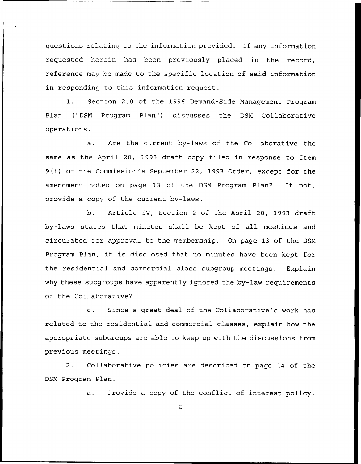questions relating to the information provided. If any information requested herein has been previously placed in the record, reference may be made to the specific location of said information in responding to this information request.

1. Section 2.0 of the 1996 Demand-Side Management Program Plan ("DSM Program Plan") discusses the DSM Collaborative operations.

a. Are the current by-laws of the Collaborative the same as the April 20, 1993 draft copy filed in response to Item 9(i) of the Commission's September 22, 1993 Order, except for the amendment noted on page 13 of the DSM Program Plan? If not, provide a copy of the current by-laws.

b. Article IV, Section <sup>2</sup> of the April 20, 1993 draft by-laws states that minutes shall be kept of all meetings and circulated for approval to the membership. On page 13 of the DSM Program Plan, it is disclosed that no minutes have been kept for the residential and commercial class subgroup meetings. Explain why these subgroups have apparently ignored the by-law requirements of the Collaborative?

c. Since <sup>a</sup> great deal of the Collaborative's work has related to the residential and commercial classes, explain how the appropriate subgroups are able to keep up with the discussions from previous meetings.

2. Collaborative policies are described on page 14 of the DSM Program Plan.

a. Provide a copy of the conflict of interest policy.

 $-2-$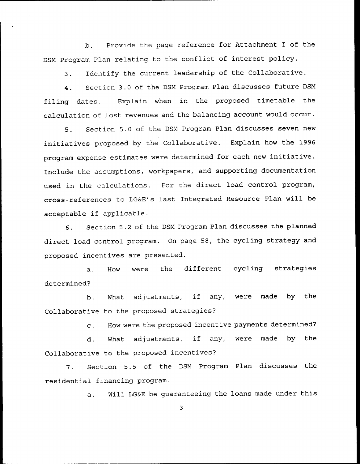b. Provide the page reference for Attachment I of the DSM Program Plan relating to the conflict of interest policy.

3. Identify the current leadership of the Collaborative.

4. Section 3.0 of the DSM Program Plan discusses future DSM filing dates. Explain when in the proposed timetable the calculation of lost revenues and the balancing account would occur.

5. Section 5.0 of the DSN Program Plan discusses seven new initiatives proposed by the Collaborative. Explain how the 1996 program expense estimates were determined for each new initiative. Include the assumptions, workpapers, and supporting documentation used in the calculations. For the direct load control program, cross-references to LG&E's last Integrated Resource Plan will be acceptable if applicable.

6. Section 5.2 of the DSN Program Plan discusses the planned direct load control program. On page 58, the cycling strategy and proposed incentives are presented.

a. How were the different cycling strategies determined?

b. What adjustments, if any, were made by the Collaborative to the proposed strategies?

c. How were the proposed incentive payments determined?

d. What adjustments, if any, were made by the Collaborative to the proposed incentives?

7. Section 5.5 of the DSN Program Plan discusses the residential financing program.

a. Will LG&E be guaranteeing the loans made under this

 $-3-$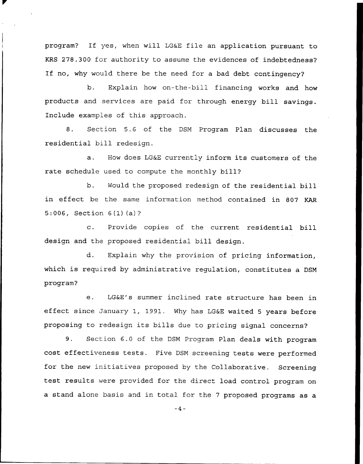program? If yes, when will LG&E file an application pursuant to KRS 278.300 for authority to assume the evidences of indebtedness? If no, why would there be the need for <sup>a</sup> bad debt contingency?

b. Explain how an-the-bill financing works and how products and services are paid for through energy bill savings. Include examples of this approach.

8. Section 5.6 of the DSM Program Plan discusses the residential bill redesign.

a. How does LG&E currently inform its customers of the rate schedule used to compute the monthly bill?

b. Would the proposed redesign of the residential bill in effect be the same information method contained in 807 KAR 5:006, Section 6(1)(a)?

c. Provide copies of the current residential bill design and the proposed residential bill design.

d. Explain why the provision of pricing information, which is required by administrative regulation, constitutes a DSM program?

e. LG&E's summer inclined rate structure has been in effect since january 1, 1991. Why has LG&E waited <sup>5</sup> years before proposing to redesign its bills due to pricing signal concerns?

9. Section 6.0 of the DSM Program Plan deals with program cost effectiveness tests. Five DSM screening tests were performed for the new initiatives proposed by the Collaborative. Screening test results were provided for the direct load control program on a stand alone basis and in total for the <sup>7</sup> proposed programs as a

 $-4-$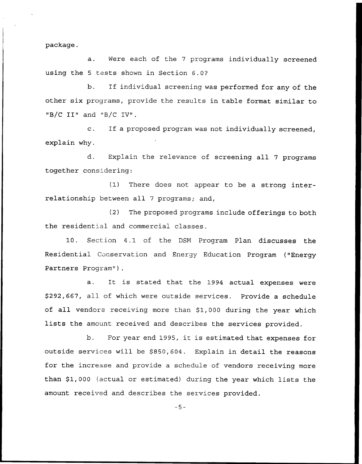package.

a. Were each of the <sup>7</sup> programs individually screened using the <sup>5</sup> tests shown in Section 6.0'?

b. If individual screening was performed for any of the other six programs, provide the results in table format similar to "B/C II" and "B/C IV".

c. If <sup>a</sup> proposed program was not individually screened, explain why.

d. Explain the relevance of screening all <sup>7</sup> programs together considering:

(1) There does not appear to be a strong interrelationship between all <sup>7</sup> programs; and,

(2) The proposed programs include offerings to both the residential and commercial classes.

10. Section 4.1 of the DSM Program Plan discusses the Residential Conservation and Energy Education Program ("Energy Partners Program").

a. It is stated that the 1994 actual expenses were \$292,667, all of which were outside services. Provide a schedule of all vendors receiving more than \$1,000 during the year which lists the amount received and describes the services provided.

b. For year end 1995, it is estimated that expenses for outside services will be \$850,604. Explain in detail the reasons for the increase and provide a schedule of vendors receiving more than \$1,000 (actual or estimated) during the year which lists the amount received and describes the services provided.

 $-5-$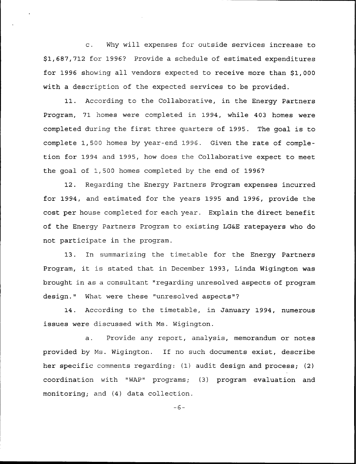c. Why will expenses for outside services increase to \$ 1,687,712 for 1996? Provide a schedule of estimated expenditures for 1996 showing all vendors expected to receive more than \$1,000 with a description of the expected services to be provided.

11. According to the Collaborative, in the Energy Partners Program, 71 homes were completed in 1994, while 403 homes were completed during the first three quarters of 1995. The goal is to complete 1,500 homes by year-end 1996. Given the rate of completion for 1994 and 1995, how does the Collaborative expect to meet the goal of 1,500 homes completed by the end of 1996?

12. Regarding the Energy Partners Program expenses incurred for 1994, and estimated for the years 1995 and 1996, provide the cost per house completed for each year. Explain the direct benefit of the Energy Partners Program to existing LG&E ratepayers who do not participate in the program.

13. In summarizing the timetable for the Energy Partners Program, it is stated that in December 1993, Linda Wigington was brought in as a consultant "regarding unresolved aspects of program design." What were these "unresolved aspects"?

14. According to the timetable, in January 1994, numerous issues were discussed with Ms. Wigington.

a. Provide any report, analysis, memorandum or notes provided by Ms. Wigington. If no such documents exist, describe her specific comments regarding: (1) audit design and process; (2) coordination with "WAP" programs; (3) program evaluation and monitoring; and (4) data collection.

 $-6-$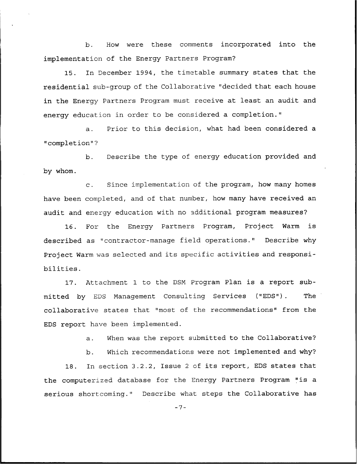b. How were these comments incorporated into the implementation of the Energy Partners Program?

15. In December 1994, the timetable summary states that the residential sub-group of the Collaborative "decided that each house in the Energy Partners Program must receive at least an audit and energy education in order to be considered a completion."

a. Prior to this decision, what had been considered a "completion"?

b. Describe the type of energy education provided and by whom.

c. Since implementation of the program, how many homes have been completed, and of that number, how many have received an audit and energy education with no additional program measures?

16. For the Energy Partners Program, Project Warm is described as "contractor-manage field operations." Describe why Project Warm was selected and its specific activities and responsibilities.

17. Attachment 1 to the DSM Program Plan is a report submitted by EDS Management Consulting Services ("EDS"). The collaborative states that "most of the recommendations" from the EDS report have been implemented.

a. When was the report submitted to the Collaborative?

b. Which recommendations were not implemented and why?

18. In section 3.2.2, Issue <sup>2</sup> of its report, EDS states that the computerized database for the Energy Partners Program "is <sup>a</sup> serious shortcoming." Describe what steps the Collaborative has

 $-7-$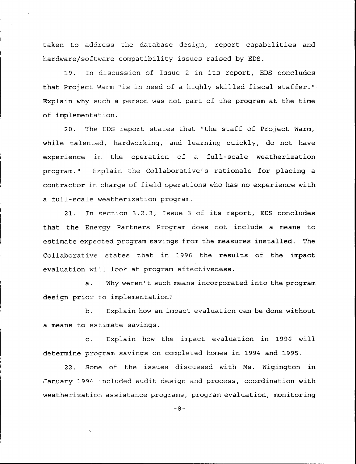taken to address the database design, report capabilities and hardware/software compatibility issues raised by EDS.

19. In discussion of Issue <sup>2</sup> in its report, EDS concludes that Project Warm "is in need of <sup>a</sup> highly skilled fiscal staffer." Explain why such a person was not part of the program at the time of implementation.

20. The EDS report states that "the staff of Project Warm, while talented, hardworking, and learning quickly, do not have experience in the operation of a full-scale weatherization program." Explain the Collaborative's rationale for placing a contractor in charge of field operations who has no experience with a full-scale weatherization program.

21. In section 3.2.3, Issue <sup>3</sup> of its report, EDS concludes that the Energy Partners Program does not include a means to estimate expected program savings from the measures installed. The Collaborative states that in 1996 the results of the impact evaluation will look at program effectiveness.

a. Why weren't such means incorporated into the program design prior to implementation?

b. Explain how an impact evaluation can be done without a means to estimate savings.

c. Explain how the impact evaluation in 1996 will determine program savings on completed homes in 1994 and 1995.

22. Some of the issues discussed with Ms. Wigington in January 1994 included audit design and process, coordination with weatherization assistance programs, program evaluation, monitoring

 $-8-$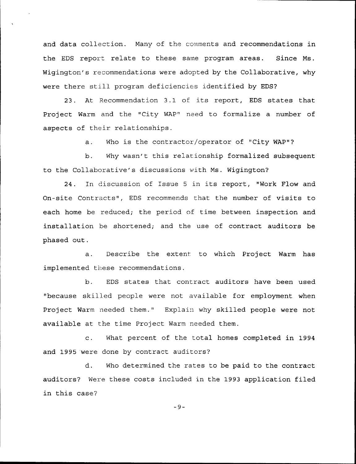and data collection. Many of the comments and recommendations in the EDS report relate to these same program areas. Since Ms. Wigington's recommendations were adopted by the Collaborative, why were there still program deficiencies identified by EDS?

23. At Recommendation 3.1 of its report, EDS states that Project Warm and the "City WAP" need to formalize a number of aspects of their relationships.

a. Who is the contractor/operator of "City WAP"?

b. Why wasn't this relationship formalized subsequent to the Collaborative's discussions with Ns. Wigington?

24. In discussion of Issue <sup>5</sup> in its report, "Work Flow and On-site Contracts", EDS recommends that the number of visits to each home be reduced; the period of time between inspection and installation be shortened; and the use of contract auditors be phased out.

a. Describe the extent to which Project Warm has implemented these recommendations.

b. EDS states that contract auditors have been used "because skilled people were not available for employment when Project Warm needed them." Explain why skilled people were not available at the time Project Warm needed them.

c. What percent of the total homes completed in 1994 and 1995 were done by contract auditors?

d. Who determined the rates to be paid to the contract auditors? Were these costs included in the 1993 application filed in this case?

 $-9-$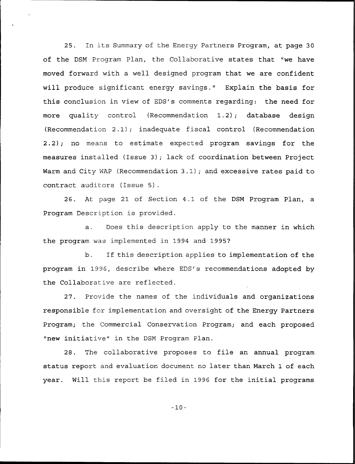25. In its Summary of the Energy Partners Program, at page <sup>30</sup> of the DSM Program Plan, the Collaborative states that "we have moved forward with a well designed program that we are confident will produce significant energy savings." Explain the basis for this conclusion in view of EDS's comments regarding: the need for more quality control (Recommendation 1.2); database design (Recommendation 2.1); inadequate fiscal control (Recommendation 2.2); no means to estimate expected program savings for the measures installed (Issue 3); lack of coordination between Project Warm and City WAP (Recommendation 3.1); and excessive rates paid to contract auditors (Issue 5).

26. At page 21 of Section 4.1 of the DSM Program Plan, a Program Description is provided.

a. Does this description apply to the manner in which the program was implemented in 1994 and 1995?

b. If this description applies to implementation of the program in 1996, describe where EDS's recommendations adopted by the Collaborative are reflected.

27. Provide the names of the individuals and organizations responsible for implementation and oversight of the Energy Partners Program; the Commercial Conservation Program; and each proposed "new initiative" in the DSN Program Plan.

28. The collaborative proposes to file an annual program status report and evaluation document no later than March 1 of each year. Will th's report be filed in 1996 for the initial programs

 $-10-$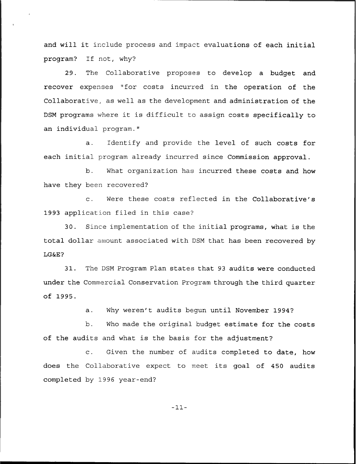and will it include process and impact evaluations of each initial program? If not, why?

29. The Collaborative proposes to develop a budget and recover expenses "for costs incurred in the operation of the Collaborative, as well as the development and administration of the DSM programs where it is difficult to assign costs specifically to an individual program."

a. Identify and provide the level of such costs for each initial program already incurred since Commission approval.

b. What organization has incurred these costs and how have they been recovered?

c. Were these costs reflected in the Collaborative's 1993 application filed in this case?

30. Since implementation of the initial programs, what is the total dollar amount associated with DSM that has been recovered by LGKcE?

31. The DSM Program Plan states that 93 audits were conducted under the Commercial Conservation Program through the third quarter of 1995.

a. Why weren't audits begun until November 1994?

b. Who made the original budget estimate for the costs of the audits and what is the basis for the adjustment?

c. Given the number of audits completed to date, how does the Collaborative expect to meet its goal of 450 audits completed by 1996 year-end?

—11—